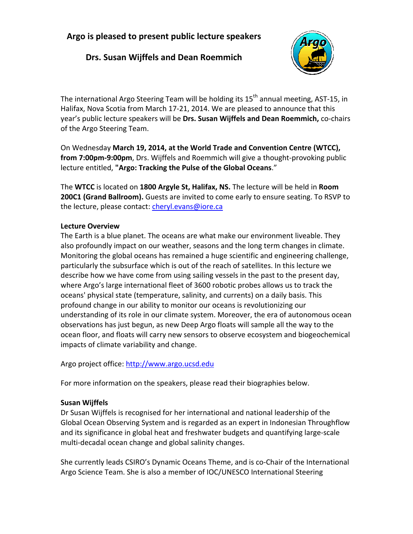# **Argo is pleased to present public lecture speakers**

# **Drs. Susan Wijffels and Dean Roemmich**



The international Argo Steering Team will be holding its  $15<sup>th</sup>$  annual meeting, AST-15, in Halifax, Nova Scotia from March 17‐21, 2014. We are pleased to announce that this year's public lecture speakers will be **Drs. Susan Wijffels and Dean Roemmich,** co‐chairs of the Argo Steering Team.

On Wednesday **March 19, 2014, at the World Trade and Convention Centre (WTCC), from 7:00pm‐9:00pm**, Drs. Wijffels and Roemmich will give a thought‐provoking public lecture entitled, **"Argo: Tracking the Pulse of the Global Oceans**."

The **WTCC** is located on **1800 Argyle St, Halifax, NS.** The lecture will be held in **Room 200C1 (Grand Ballroom).** Guests are invited to come early to ensure seating. To RSVP to the lecture, please contact: cheryl.evans@iore.ca

### **Lecture Overview**

The Earth is a blue planet. The oceans are what make our environment liveable. They also profoundly impact on our weather, seasons and the long term changes in climate. Monitoring the global oceans has remained a huge scientific and engineering challenge, particularly the subsurface which is out of the reach of satellites. In this lecture we describe how we have come from using sailing vessels in the past to the present day, where Argo's large international fleet of 3600 robotic probes allows us to track the oceans' physical state (temperature, salinity, and currents) on a daily basis. This profound change in our ability to monitor our oceans is revolutionizing our understanding of its role in our climate system. Moreover, the era of autonomous ocean observations has just begun, as new Deep Argo floats will sample all the way to the ocean floor, and floats will carry new sensors to observe ecosystem and biogeochemical impacts of climate variability and change.

Argo project office: http://www.argo.ucsd.edu

For more information on the speakers, please read their biographies below.

## **Susan Wijffels**

Dr Susan Wijffels is recognised for her international and national leadership of the Global Ocean Observing System and is regarded as an expert in Indonesian Throughflow and its significance in global heat and freshwater budgets and quantifying large‐scale multi‐decadal ocean change and global salinity changes.

She currently leads CSIRO's Dynamic Oceans Theme, and is co‐Chair of the International Argo Science Team. She is also a member of IOC/UNESCO International Steering